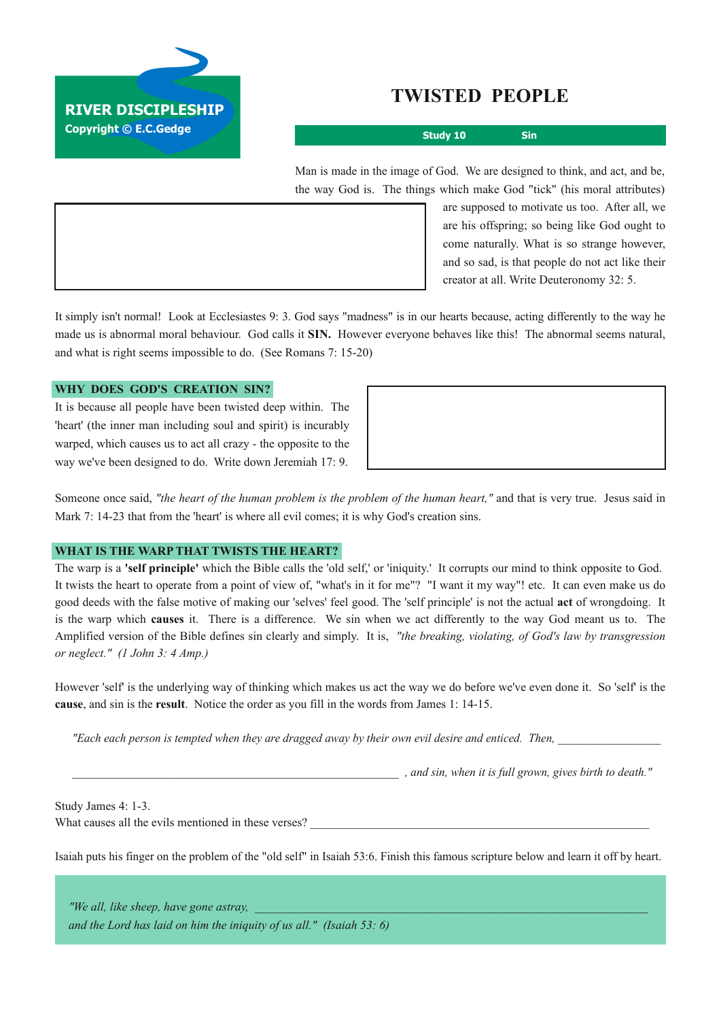

# **TWISTED PEOPLE**

**Study 10 Sin**

Man is made in the image of God. We are designed to think, and act, and be, the way God is. The things which make God "tick" (his moral attributes)

> are supposed to motivate us too. After all, we are his offspring; so being like God ought to come naturally. What is so strange however, and so sad, is that people do not act like their creator at all. Write Deuteronomy 32: 5.

It simply isn't normal! Look at Ecclesiastes 9: 3. God says "madness" is in our hearts because, acting differently to the way he made us is abnormal moral behaviour. God calls it **SIN.** However everyone behaves like this! The abnormal seems natural, and what is right seems impossible to do. (See Romans 7: 15-20)

## **WHY DOES GOD'S CREATION SIN?**

It is because all people have been twisted deep within. The 'heart' (the inner man including soul and spirit) is incurably warped, which causes us to act all crazy - the opposite to the way we've been designed to do. Write down Jeremiah 17: 9.

Someone once said, *"the heart of the human problem is the problem of the human heart,"* and that is very true. Jesus said in Mark 7: 1423 that from the 'heart' is where all evil comes; it is why God's creation sins.

## **WHAT IS THE WARP THAT TWISTS THE HEART?**

The warp is a **'self principle'** which the Bible calls the 'old self,' or 'iniquity.' It corrupts our mind to think opposite to God. It twists the heart to operate from a point of view of, "what's in it for me"? "I want it my way"! etc. It can even make us do good deeds with the false motive of making our 'selves' feel good. The 'self principle' is not the actual **act** of wrongdoing. It is the warp which **causes** it. There is a difference. We sin when we act differently to the way God meant us to. The Amplified version of the Bible defines sin clearly and simply. It is, *"the breaking, violating, of God's law by transgression or neglect." (1 John 3: 4 Amp.)*

However 'self' is the underlying way of thinking which makes us act the way we do before we've even done it. So 'self' is the **cause**, and sin is the **result**. Notice the order as you fill in the words from James 1: 14-15.

"Each each person is tempted when they are dragged away by their own evil desire and enticed. Then,

*\_\_\_\_\_\_\_\_\_\_\_\_\_\_\_\_\_\_\_\_\_\_\_\_\_\_\_\_\_\_\_\_\_\_\_\_\_\_\_\_\_\_\_\_\_\_\_\_\_\_\_\_\_\_ , and sin, when it is full grown, gives birth to death."*

Study James 4: 1-3. What causes all the evils mentioned in these verses?

Isaiah puts his finger on the problem of the "old self" in Isaiah 53:6. Finish this famous scripture below and learn it off by heart.

*"We all, like sheep, have gone astray, \_\_\_\_\_\_\_\_\_\_\_\_\_\_\_\_\_\_\_\_\_\_\_\_\_\_\_\_\_\_\_\_\_\_\_\_\_\_\_\_\_\_\_\_\_\_\_\_\_\_\_\_\_\_\_\_\_\_\_\_\_\_\_\_\_ and the Lord has laid on him the iniquity of us all." (Isaiah 53: 6)*